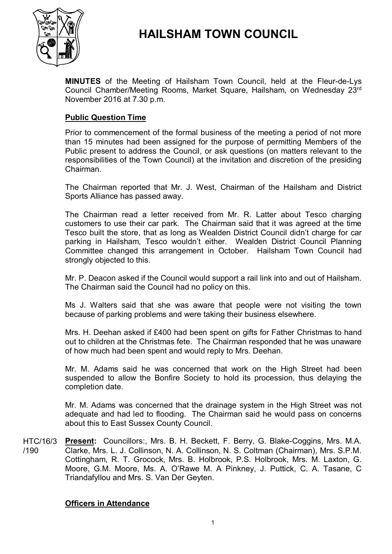

# **HAILSHAM TOWN COUNCIL**

**MINUTES** of the Meeting of Hailsham Town Council, held at the Fleur-de-Lys Council Chamber/Meeting Rooms, Market Square, Hailsham, on Wednesday 23<sup>rd</sup> November 2016 at 7.30 p.m.

# **Public Question Time**

Prior to commencement of the formal business of the meeting a period of not more than 15 minutes had been assigned for the purpose of permitting Members of the Public present to address the Council, or ask questions (on matters relevant to the responsibilities of the Town Council) at the invitation and discretion of the presiding Chairman.

The Chairman reported that Mr. J. West, Chairman of the Hailsham and District Sports Alliance has passed away.

The Chairman read a letter received from Mr. R. Latter about Tesco charging customers to use their car park. The Chairman said that it was agreed at the time Tesco built the store, that as long as Wealden District Council didn't charge for car parking in Hailsham, Tesco wouldn't either. Wealden District Council Planning Committee changed this arrangement in October. Hailsham Town Council had strongly objected to this.

Mr. P. Deacon asked if the Council would support a rail link into and out of Hailsham. The Chairman said the Council had no policy on this.

Ms J. Walters said that she was aware that people were not visiting the town because of parking problems and were taking their business elsewhere.

Mrs. H. Deehan asked if £400 had been spent on gifts for Father Christmas to hand out to children at the Christmas fete. The Chairman responded that he was unaware of how much had been spent and would reply to Mrs. Deehan.

Mr. M. Adams said he was concerned that work on the High Street had been suspended to allow the Bonfire Society to hold its procession, thus delaying the completion date.

Mr. M. Adams was concerned that the drainage system in the High Street was not adequate and had led to flooding. The Chairman said he would pass on concerns about this to East Sussex County Council.

HTC/16/3 /190 **Present:** Councillors:, Mrs. B. H. Beckett, F. Berry, G. Blake-Coggins, Mrs. M.A. Clarke, Mrs. L. J. Collinson, N. A. Collinson, N. S. Coltman (Chairman), Mrs. S.P.M. Cottingham, R. T. Grocock, Mrs. B. Holbrook, P.S. Holbrook, Mrs. M. Laxton, G. Moore, G.M. Moore, Ms. A. O'Rawe M. A Pinkney, J. Puttick, C. A. Tasane, C Triandafyllou and Mrs. S. Van Der Geyten.

#### **Officers in Attendance**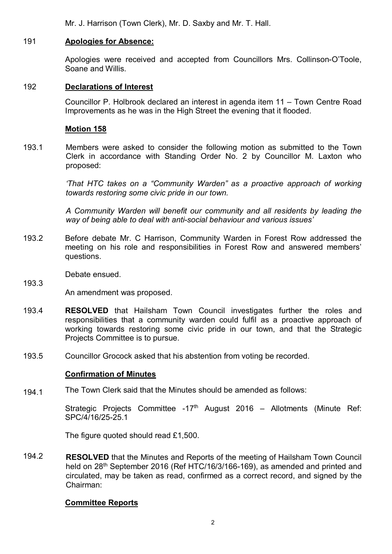Mr. J. Harrison (Town Clerk), Mr. D. Saxby and Mr. T. Hall.

# 191 **Apologies for Absence:**

Apologies were received and accepted from Councillors Mrs. Collinson-O'Toole, Soane and Willis.

# 192 **Declarations of Interest**

Councillor P. Holbrook declared an interest in agenda item 11 – Town Centre Road Improvements as he was in the High Street the evening that it flooded.

# **Motion 158**

193.1 Members were asked to consider the following motion as submitted to the Town Clerk in accordance with Standing Order No. 2 by Councillor M. Laxton who proposed:

> *'That HTC takes on a "Community Warden" as a proactive approach of working towards restoring some civic pride in our town.*

> *A Community Warden will benefit our community and all residents by leading the way of being able to deal with anti-social behaviour and various issues'*

193.2 Before debate Mr. C Harrison, Community Warden in Forest Row addressed the meeting on his role and responsibilities in Forest Row and answered members' questions.

Debate ensued.

193.3

An amendment was proposed.

- 193.4 **RESOLVED** that Hailsham Town Council investigates further the roles and responsibilities that a community warden could fulfil as a proactive approach of working towards restoring some civic pride in our town, and that the Strategic Projects Committee is to pursue.
- 193.5 Councillor Grocock asked that his abstention from voting be recorded.

#### **Confirmation of Minutes**

194.1 The Town Clerk said that the Minutes should be amended as follows:

> Strategic Projects Committee -17<sup>th</sup> August 2016 – Allotments (Minute Ref: SPC/4/16/25-25.1

The figure quoted should read £1,500.

194.2 **RESOLVED** that the Minutes and Reports of the meeting of Hailsham Town Council held on 28<sup>th</sup> September 2016 (Ref HTC/16/3/166-169), as amended and printed and circulated, may be taken as read, confirmed as a correct record, and signed by the Chairman:

#### **Committee Reports**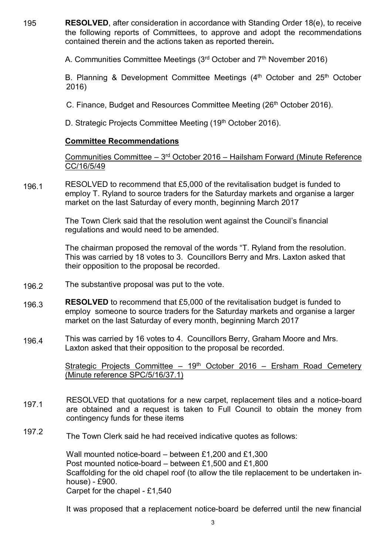195 **RESOLVED**, after consideration in accordance with Standing Order 18(e), to receive the following reports of Committees, to approve and adopt the recommendations contained therein and the actions taken as reported therein**.**

A. Communities Committee Meetings (3<sup>rd</sup> October and 7<sup>th</sup> November 2016)

B. Planning & Development Committee Meetings (4<sup>th</sup> October and 25<sup>th</sup> October 2016)

C. Finance, Budget and Resources Committee Meeting (26<sup>th</sup> October 2016).

D. Strategic Projects Committee Meeting (19<sup>th</sup> October 2016).

# **Committee Recommendations**

Communities Committee - 3<sup>rd</sup> October 2016 - Hailsham Forward (Minute Reference CC/16/5/49

196.1 RESOLVED to recommend that £5,000 of the revitalisation budget is funded to employ T. Ryland to source traders for the Saturday markets and organise a larger market on the last Saturday of every month, beginning March 2017

> The Town Clerk said that the resolution went against the Council's financial regulations and would need to be amended.

The chairman proposed the removal of the words "T. Ryland from the resolution. This was carried by 18 votes to 3. Councillors Berry and Mrs. Laxton asked that their opposition to the proposal be recorded.

- 196.2 The substantive proposal was put to the vote.
- 196.3 **RESOLVED** to recommend that £5,000 of the revitalisation budget is funded to employ someone to source traders for the Saturday markets and organise a larger market on the last Saturday of every month, beginning March 2017
- 196.4 This was carried by 16 votes to 4. Councillors Berry, Graham Moore and Mrs. Laxton asked that their opposition to the proposal be recorded.

Strategic Projects Committee - 19<sup>th</sup> October 2016 - Ersham Road Cemetery (Minute reference SPC/5/16/37.1)

- 197.1 RESOLVED that quotations for a new carpet, replacement tiles and a notice-board are obtained and a request is taken to Full Council to obtain the money from contingency funds for these items
- 197.2 The Town Clerk said he had received indicative quotes as follows:

Wall mounted notice-board – between £1,200 and £1,300 Post mounted notice-board – between £1,500 and £1,800 Scaffolding for the old chapel roof (to allow the tile replacement to be undertaken inhouse) - £900. Carpet for the chapel - £1,540

It was proposed that a replacement notice-board be deferred until the new financial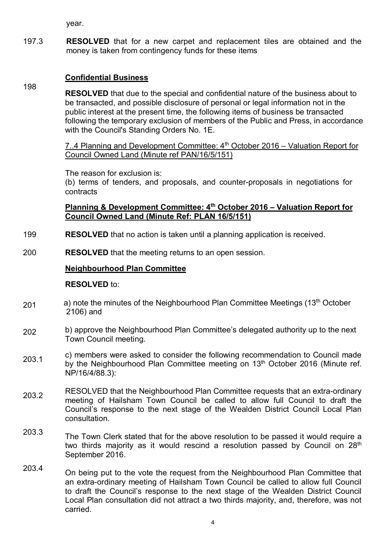year.

197.3 **RESOLVED** that for a new carpet and replacement tiles are obtained and the money is taken from contingency funds for these items

# **Confidential Business**

198 **RESOLVED** that due to the special and confidential nature of the business about to be transacted, and possible disclosure of personal or legal information not in the public interest at the present time, the following items of business be transacted following the temporary exclusion of members of the Public and Press, in accordance with the Council's Standing Orders No. 1E.

> 7..4 Planning and Development Committee:  $4<sup>th</sup>$  October 2016 – Valuation Report for Council Owned Land (Minute ref PAN/16/5/151)

The reason for exclusion is:

(b) terms of tenders, and proposals, and counter-proposals in negotiations for contracts

# **Planning & Development Committee: 4th October 2016 – Valuation Report for Council Owned Land (Minute Ref: PLAN 16/5/151)**

- 199 **RESOLVED** that no action is taken until a planning application is received.
- 200 **RESOLVED** that the meeting returns to an open session.

# **Neighbourhood Plan Committee**

#### **RESOLVED** to:

- 201 a) note the minutes of the Neighbourhood Plan Committee Meetings (13<sup>th</sup> October 2106) and
- 202 b) approve the Neighbourhood Plan Committee's delegated authority up to the next Town Council meeting.
- 203.1 c) members were asked to consider the following recommendation to Council made by the Neighbourhood Plan Committee meeting on 13<sup>th</sup> October 2016 (Minute ref. NP/16/4/88.3):
- 203.2 RESOLVED that the Neighbourhood Plan Committee requests that an extra-ordinary meeting of Hailsham Town Council be called to allow full Council to draft the Council's response to the next stage of the Wealden District Council Local Plan consultation.
- 203.3 The Town Clerk stated that for the above resolution to be passed it would require a two thirds majority as it would rescind a resolution passed by Council on  $28<sup>th</sup>$ September 2016.
- 203.4 On being put to the vote the request from the Neighbourhood Plan Committee that an extra-ordinary meeting of Hailsham Town Council be called to allow full Council to draft the Council's response to the next stage of the Wealden District Council Local Plan consultation did not attract a two thirds majority, and, therefore, was not carried.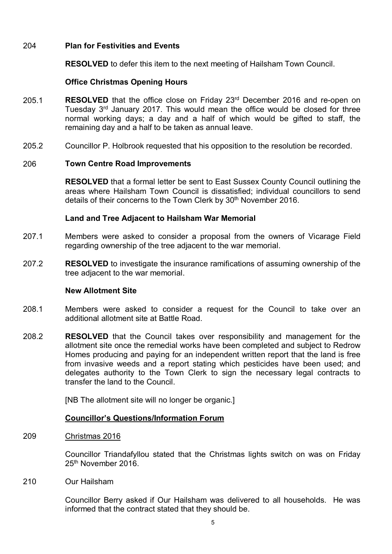# 204 **Plan for Festivities and Events**

**RESOLVED** to defer this item to the next meeting of Hailsham Town Council.

# **Office Christmas Opening Hours**

- 205.1 **RESOLVED** that the office close on Friday 23<sup>rd</sup> December 2016 and re-open on Tuesday 3<sup>rd</sup> January 2017. This would mean the office would be closed for three normal working days; a day and a half of which would be gifted to staff, the remaining day and a half to be taken as annual leave.
- 205.2 Councillor P. Holbrook requested that his opposition to the resolution be recorded.

#### 206 **Town Centre Road Improvements**

**RESOLVED** that a formal letter be sent to East Sussex County Council outlining the areas where Hailsham Town Council is dissatisfied; individual councillors to send details of their concerns to the Town Clerk by 30<sup>th</sup> November 2016.

#### **Land and Tree Adjacent to Hailsham War Memorial**

- 207.1 Members were asked to consider a proposal from the owners of Vicarage Field regarding ownership of the tree adjacent to the war memorial.
- 207.2 **RESOLVED** to investigate the insurance ramifications of assuming ownership of the tree adjacent to the war memorial.

#### **New Allotment Site**

- 208.1 Members were asked to consider a request for the Council to take over an additional allotment site at Battle Road.
- 208.2 **RESOLVED** that the Council takes over responsibility and management for the allotment site once the remedial works have been completed and subject to Redrow Homes producing and paying for an independent written report that the land is free from invasive weeds and a report stating which pesticides have been used; and delegates authority to the Town Clerk to sign the necessary legal contracts to transfer the land to the Council.

[NB The allotment site will no longer be organic.]

#### **Councillor's Questions/Information Forum**

#### 209 Christmas 2016

Councillor Triandafyllou stated that the Christmas lights switch on was on Friday 25<sup>th</sup> November 2016.

210 Our Hailsham

> Councillor Berry asked if Our Hailsham was delivered to all households. He was informed that the contract stated that they should be.